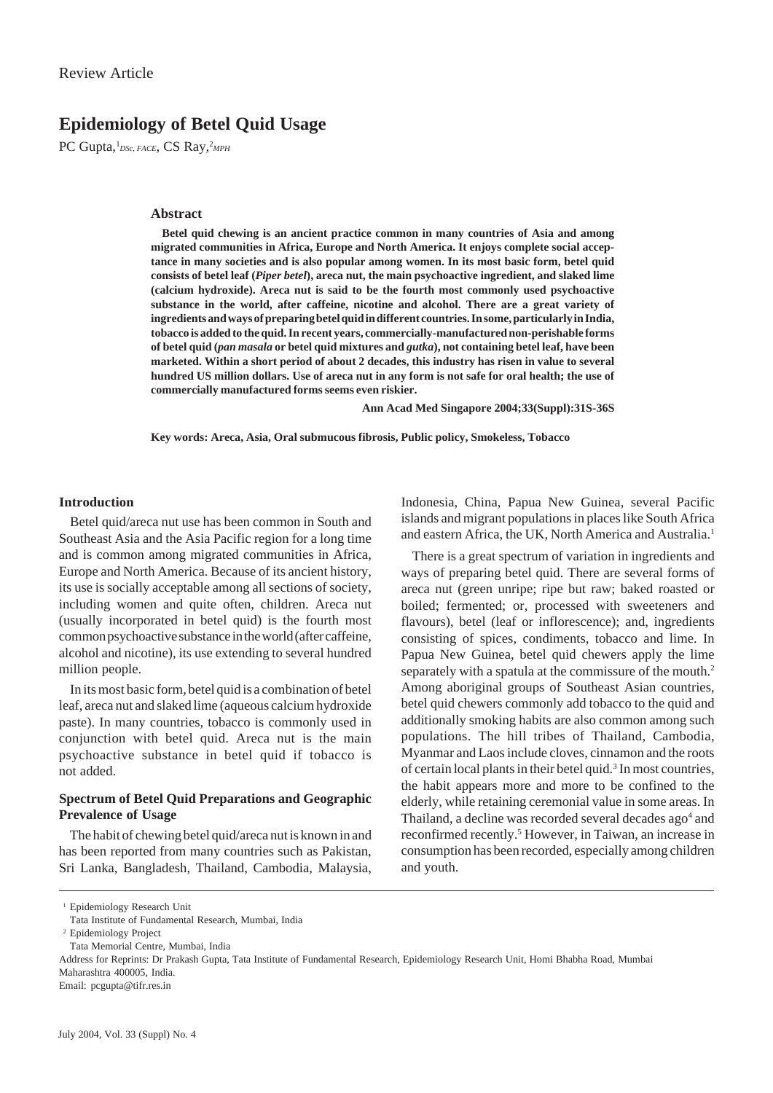# **Epidemiology of Betel Quid Usage**

PC Gupta,<sup>1</sup>DSc, FACE, CS Ray,<sup>2</sup>MPH

### **Abstract**

**Betel quid chewing is an ancient practice common in many countries of Asia and among migrated communities in Africa, Europe and North America. It enjoys complete social acceptance in many societies and is also popular among women. In its most basic form, betel quid consists of betel leaf (***Piper betel***), areca nut, the main psychoactive ingredient, and slaked lime (calcium hydroxide). Areca nut is said to be the fourth most commonly used psychoactive substance in the world, after caffeine, nicotine and alcohol. There are a great variety of ingredients and ways of preparing betel quid in different countries. In some, particularly in India, tobacco is added to the quid. In recent years, commercially-manufactured non-perishable forms of betel quid (***pan masala* **or betel quid mixtures and** *gutka***), not containing betel leaf, have been marketed. Within a short period of about 2 decades, this industry has risen in value to several hundred US million dollars. Use of areca nut in any form is not safe for oral health; the use of commercially manufactured forms seems even riskier.**

**Ann Acad Med Singapore 2004;33(Suppl):31S-36S**

**Key words: Areca, Asia, Oral submucous fibrosis, Public policy, Smokeless, Tobacco**

# **Introduction**

Betel quid/areca nut use has been common in South and Southeast Asia and the Asia Pacific region for a long time and is common among migrated communities in Africa, Europe and North America. Because of its ancient history, its use is socially acceptable among all sections of society, including women and quite often, children. Areca nut (usually incorporated in betel quid) is the fourth most common psychoactive substance in the world (after caffeine, alcohol and nicotine), its use extending to several hundred million people.

In its most basic form, betel quid is a combination of betel leaf, areca nut and slaked lime (aqueous calcium hydroxide paste). In many countries, tobacco is commonly used in conjunction with betel quid. Areca nut is the main psychoactive substance in betel quid if tobacco is not added.

### **Spectrum of Betel Quid Preparations and Geographic Prevalence of Usage**

The habit of chewing betel quid/areca nut is known in and has been reported from many countries such as Pakistan, Sri Lanka, Bangladesh, Thailand, Cambodia, Malaysia,

Indonesia, China, Papua New Guinea, several Pacific islands and migrant populations in places like South Africa and eastern Africa, the UK, North America and Australia.<sup>1</sup>

There is a great spectrum of variation in ingredients and ways of preparing betel quid. There are several forms of areca nut (green unripe; ripe but raw; baked roasted or boiled; fermented; or, processed with sweeteners and flavours), betel (leaf or inflorescence); and, ingredients consisting of spices, condiments, tobacco and lime. In Papua New Guinea, betel quid chewers apply the lime separately with a spatula at the commissure of the mouth.<sup>2</sup> Among aboriginal groups of Southeast Asian countries, betel quid chewers commonly add tobacco to the quid and additionally smoking habits are also common among such populations. The hill tribes of Thailand, Cambodia, Myanmar and Laos include cloves, cinnamon and the roots of certain local plants in their betel quid.<sup>3</sup> In most countries, the habit appears more and more to be confined to the elderly, while retaining ceremonial value in some areas. In Thailand, a decline was recorded several decades ago<sup>4</sup> and reconfirmed recently.<sup>5</sup> However, in Taiwan, an increase in consumption has been recorded, especially among children and youth.

Email: pcgupta@tifr.res.in

<sup>&</sup>lt;sup>1</sup> Epidemiology Research Unit

Tata Institute of Fundamental Research, Mumbai, India

<sup>2</sup> Epidemiology Project

Tata Memorial Centre, Mumbai, India

Address for Reprints: Dr Prakash Gupta, Tata Institute of Fundamental Research, Epidemiology Research Unit, Homi Bhabha Road, Mumbai Maharashtra 400005, India.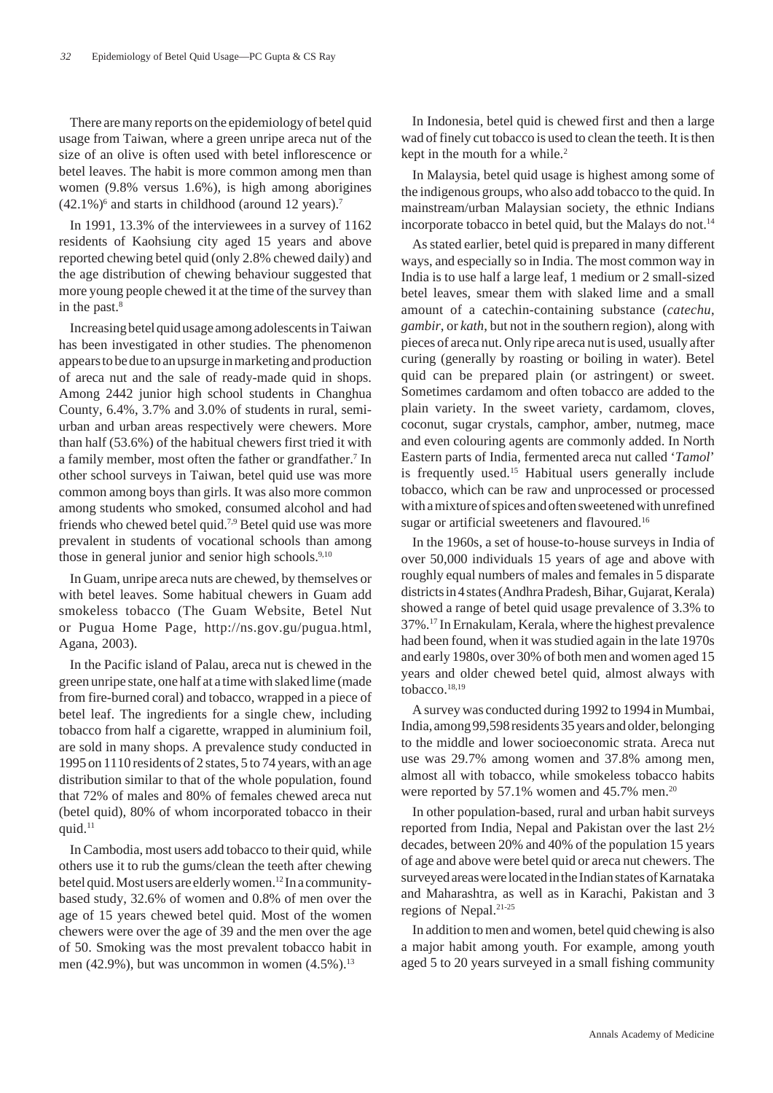There are many reports on the epidemiology of betel quid usage from Taiwan, where a green unripe areca nut of the size of an olive is often used with betel inflorescence or betel leaves. The habit is more common among men than women (9.8% versus 1.6%), is high among aborigines  $(42.1\%)^6$  and starts in childhood (around 12 years).<sup>7</sup>

In 1991, 13.3% of the interviewees in a survey of 1162 residents of Kaohsiung city aged 15 years and above reported chewing betel quid (only 2.8% chewed daily) and the age distribution of chewing behaviour suggested that more young people chewed it at the time of the survey than in the past.<sup>8</sup>

Increasing betel quid usage among adolescents in Taiwan has been investigated in other studies. The phenomenon appears to be due to an upsurge in marketing and production of areca nut and the sale of ready-made quid in shops. Among 2442 junior high school students in Changhua County, 6.4%, 3.7% and 3.0% of students in rural, semiurban and urban areas respectively were chewers. More than half (53.6%) of the habitual chewers first tried it with a family member, most often the father or grandfather.<sup>7</sup> In other school surveys in Taiwan, betel quid use was more common among boys than girls. It was also more common among students who smoked, consumed alcohol and had friends who chewed betel quid.7,9 Betel quid use was more prevalent in students of vocational schools than among those in general junior and senior high schools.<sup>9,10</sup>

In Guam, unripe areca nuts are chewed, by themselves or with betel leaves. Some habitual chewers in Guam add smokeless tobacco (The Guam Website, Betel Nut or Pugua Home Page, http://ns.gov.gu/pugua.html, Agana, 2003).

In the Pacific island of Palau, areca nut is chewed in the green unripe state, one half at a time with slaked lime (made from fire-burned coral) and tobacco, wrapped in a piece of betel leaf. The ingredients for a single chew, including tobacco from half a cigarette, wrapped in aluminium foil, are sold in many shops. A prevalence study conducted in 1995 on 1110 residents of 2 states, 5 to 74 years, with an age distribution similar to that of the whole population, found that 72% of males and 80% of females chewed areca nut (betel quid), 80% of whom incorporated tobacco in their quid.<sup>11</sup>

In Cambodia, most users add tobacco to their quid, while others use it to rub the gums/clean the teeth after chewing betel quid. Most users are elderly women.<sup>12</sup> In a communitybased study, 32.6% of women and 0.8% of men over the age of 15 years chewed betel quid. Most of the women chewers were over the age of 39 and the men over the age of 50. Smoking was the most prevalent tobacco habit in men (42.9%), but was uncommon in women  $(4.5\%)$ .<sup>13</sup>

In Indonesia, betel quid is chewed first and then a large wad of finely cut tobacco is used to clean the teeth. It is then kept in the mouth for a while.<sup>2</sup>

In Malaysia, betel quid usage is highest among some of the indigenous groups, who also add tobacco to the quid. In mainstream/urban Malaysian society, the ethnic Indians incorporate tobacco in betel quid, but the Malays do not.<sup>14</sup>

As stated earlier, betel quid is prepared in many different ways, and especially so in India. The most common way in India is to use half a large leaf, 1 medium or 2 small-sized betel leaves, smear them with slaked lime and a small amount of a catechin-containing substance (*catechu*, *gambir*, or *kath*, but not in the southern region), along with pieces of areca nut. Only ripe areca nut is used, usually after curing (generally by roasting or boiling in water). Betel quid can be prepared plain (or astringent) or sweet. Sometimes cardamom and often tobacco are added to the plain variety. In the sweet variety, cardamom, cloves, coconut, sugar crystals, camphor, amber, nutmeg, mace and even colouring agents are commonly added. In North Eastern parts of India, fermented areca nut called '*Tamol*' is frequently used.<sup>15</sup> Habitual users generally include tobacco, which can be raw and unprocessed or processed with a mixture of spices and often sweetened with unrefined sugar or artificial sweeteners and flavoured.<sup>16</sup>

In the 1960s, a set of house-to-house surveys in India of over 50,000 individuals 15 years of age and above with roughly equal numbers of males and females in 5 disparate districts in 4 states (Andhra Pradesh, Bihar, Gujarat, Kerala) showed a range of betel quid usage prevalence of 3.3% to 37%.17 In Ernakulam, Kerala, where the highest prevalence had been found, when it was studied again in the late 1970s and early 1980s, over 30% of both men and women aged 15 years and older chewed betel quid, almost always with tobacco.18,19

A survey was conducted during 1992 to 1994 in Mumbai, India, among 99,598 residents 35 years and older, belonging to the middle and lower socioeconomic strata. Areca nut use was 29.7% among women and 37.8% among men, almost all with tobacco, while smokeless tobacco habits were reported by 57.1% women and 45.7% men.<sup>20</sup>

In other population-based, rural and urban habit surveys reported from India, Nepal and Pakistan over the last 2½ decades, between 20% and 40% of the population 15 years of age and above were betel quid or areca nut chewers. The surveyed areas were located in the Indian states of Karnataka and Maharashtra, as well as in Karachi, Pakistan and 3 regions of Nepal.21-25

In addition to men and women, betel quid chewing is also a major habit among youth. For example, among youth aged 5 to 20 years surveyed in a small fishing community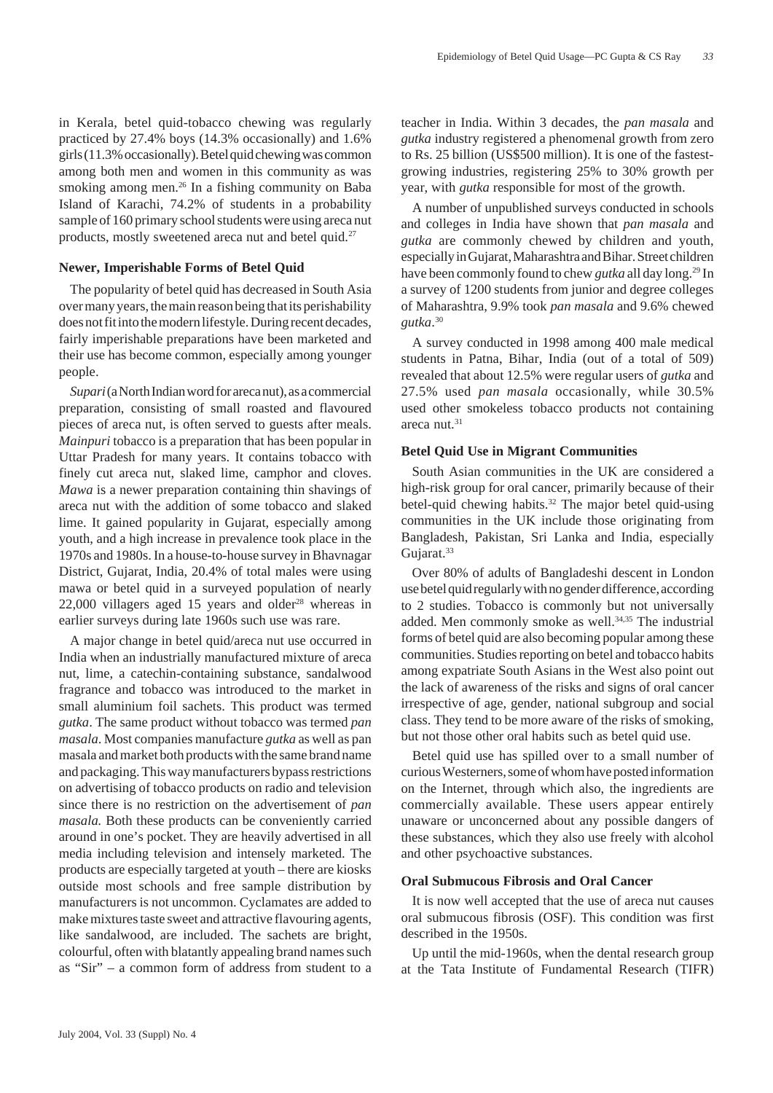in Kerala, betel quid-tobacco chewing was regularly practiced by 27.4% boys (14.3% occasionally) and 1.6% girls (11.3% occasionally). Betel quid chewing was common among both men and women in this community as was smoking among men.<sup>26</sup> In a fishing community on Baba Island of Karachi, 74.2% of students in a probability sample of 160 primary school students were using areca nut products, mostly sweetened areca nut and betel quid.<sup>27</sup>

### **Newer, Imperishable Forms of Betel Quid**

The popularity of betel quid has decreased in South Asia over many years, the main reason being that its perishability does not fit into the modern lifestyle. During recent decades, fairly imperishable preparations have been marketed and their use has become common, especially among younger people.

*Supari* (a North Indian word for areca nut), as a commercial preparation, consisting of small roasted and flavoured pieces of areca nut, is often served to guests after meals. *Mainpuri* tobacco is a preparation that has been popular in Uttar Pradesh for many years. It contains tobacco with finely cut areca nut, slaked lime, camphor and cloves. *Mawa* is a newer preparation containing thin shavings of areca nut with the addition of some tobacco and slaked lime. It gained popularity in Gujarat, especially among youth, and a high increase in prevalence took place in the 1970s and 1980s. In a house-to-house survey in Bhavnagar District, Gujarat, India, 20.4% of total males were using mawa or betel quid in a surveyed population of nearly  $22,000$  villagers aged 15 years and older<sup>28</sup> whereas in earlier surveys during late 1960s such use was rare.

A major change in betel quid/areca nut use occurred in India when an industrially manufactured mixture of areca nut, lime, a catechin-containing substance, sandalwood fragrance and tobacco was introduced to the market in small aluminium foil sachets. This product was termed *gutka*. The same product without tobacco was termed *pan masala*. Most companies manufacture *gutka* as well as pan masala and market both products with the same brand name and packaging. This way manufacturers bypass restrictions on advertising of tobacco products on radio and television since there is no restriction on the advertisement of *pan masala.* Both these products can be conveniently carried around in one's pocket. They are heavily advertised in all media including television and intensely marketed. The products are especially targeted at youth – there are kiosks outside most schools and free sample distribution by manufacturers is not uncommon. Cyclamates are added to make mixtures taste sweet and attractive flavouring agents, like sandalwood, are included. The sachets are bright, colourful, often with blatantly appealing brand names such as "Sir" – a common form of address from student to a teacher in India. Within 3 decades, the *pan masala* and *gutka* industry registered a phenomenal growth from zero to Rs. 25 billion (US\$500 million). It is one of the fastestgrowing industries, registering 25% to 30% growth per year, with *gutka* responsible for most of the growth.

A number of unpublished surveys conducted in schools and colleges in India have shown that *pan masala* and *gutka* are commonly chewed by children and youth, especially in Gujarat, Maharashtra and Bihar. Street children have been commonly found to chew *gutka* all day long.29 In a survey of 1200 students from junior and degree colleges of Maharashtra, 9.9% took *pan masala* and 9.6% chewed *gutka*. 30

A survey conducted in 1998 among 400 male medical students in Patna, Bihar, India (out of a total of 509) revealed that about 12.5% were regular users of *gutka* and 27.5% used *pan masala* occasionally, while 30.5% used other smokeless tobacco products not containing areca nut.31

# **Betel Quid Use in Migrant Communities**

South Asian communities in the UK are considered a high-risk group for oral cancer, primarily because of their betel-quid chewing habits.<sup>32</sup> The major betel quid-using communities in the UK include those originating from Bangladesh, Pakistan, Sri Lanka and India, especially Gujarat.<sup>33</sup>

Over 80% of adults of Bangladeshi descent in London use betel quid regularly with no gender difference, according to 2 studies. Tobacco is commonly but not universally added. Men commonly smoke as well.<sup>34,35</sup> The industrial forms of betel quid are also becoming popular among these communities. Studies reporting on betel and tobacco habits among expatriate South Asians in the West also point out the lack of awareness of the risks and signs of oral cancer irrespective of age, gender, national subgroup and social class. They tend to be more aware of the risks of smoking, but not those other oral habits such as betel quid use.

Betel quid use has spilled over to a small number of curious Westerners, some of whom have posted information on the Internet, through which also, the ingredients are commercially available. These users appear entirely unaware or unconcerned about any possible dangers of these substances, which they also use freely with alcohol and other psychoactive substances.

# **Oral Submucous Fibrosis and Oral Cancer**

It is now well accepted that the use of areca nut causes oral submucous fibrosis (OSF). This condition was first described in the 1950s.

Up until the mid-1960s, when the dental research group at the Tata Institute of Fundamental Research (TIFR)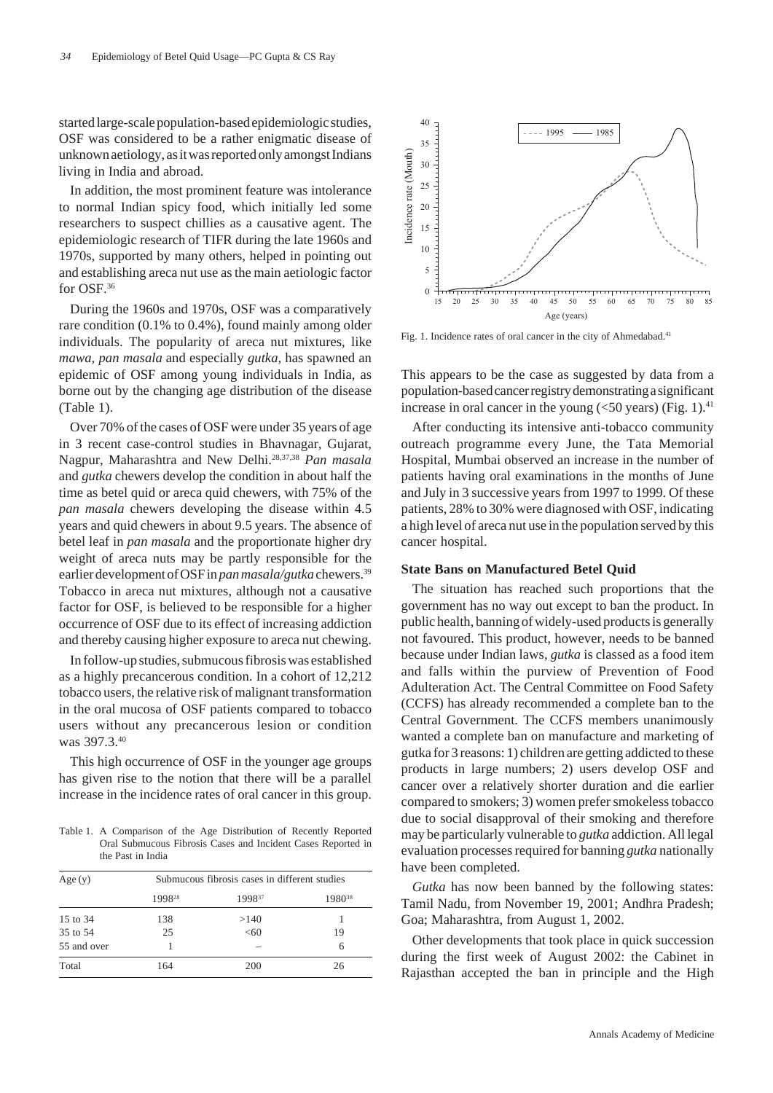started large-scale population-based epidemiologic studies, OSF was considered to be a rather enigmatic disease of unknown aetiology, as it was reported only amongst Indians living in India and abroad.

In addition, the most prominent feature was intolerance to normal Indian spicy food, which initially led some researchers to suspect chillies as a causative agent. The epidemiologic research of TIFR during the late 1960s and 1970s, supported by many others, helped in pointing out and establishing areca nut use as the main aetiologic factor for OSF.36

During the 1960s and 1970s, OSF was a comparatively rare condition (0.1% to 0.4%), found mainly among older individuals. The popularity of areca nut mixtures, like *mawa, pan masala* and especially *gutka*, has spawned an epidemic of OSF among young individuals in India, as borne out by the changing age distribution of the disease (Table 1).

Over 70% of the cases of OSF were under 35 years of age in 3 recent case-control studies in Bhavnagar, Gujarat, Nagpur, Maharashtra and New Delhi.28,37,38 *Pan masala* and *gutka* chewers develop the condition in about half the time as betel quid or areca quid chewers, with 75% of the *pan masala* chewers developing the disease within 4.5 years and quid chewers in about 9.5 years. The absence of betel leaf in *pan masala* and the proportionate higher dry weight of areca nuts may be partly responsible for the earlier development of OSF in *pan masala/gutka* chewers.39 Tobacco in areca nut mixtures, although not a causative factor for OSF, is believed to be responsible for a higher occurrence of OSF due to its effect of increasing addiction and thereby causing higher exposure to areca nut chewing.

In follow-up studies, submucous fibrosis was established as a highly precancerous condition. In a cohort of 12,212 tobacco users, the relative risk of malignant transformation in the oral mucosa of OSF patients compared to tobacco users without any precancerous lesion or condition was 397.3.40

This high occurrence of OSF in the younger age groups has given rise to the notion that there will be a parallel increase in the incidence rates of oral cancer in this group.

Table 1. A Comparison of the Age Distribution of Recently Reported Oral Submucous Fibrosis Cases and Incident Cases Reported in the Past in India

| Age(y)      | Submucous fibrosis cases in different studies |        |                    |
|-------------|-----------------------------------------------|--------|--------------------|
|             | 1998 <sup>28</sup>                            | 199837 | 1980 <sup>38</sup> |
| 15 to 34    | 138                                           | >140   |                    |
| 35 to 54    | 25                                            | <60    | 19                 |
| 55 and over |                                               |        | 6                  |
| Total       | 164                                           | 200    | 26                 |



This appears to be the case as suggested by data from a population-based cancer registry demonstrating a significant increase in oral cancer in the young  $(<50$  years) (Fig. 1).<sup>41</sup>

After conducting its intensive anti-tobacco community outreach programme every June, the Tata Memorial Hospital, Mumbai observed an increase in the number of patients having oral examinations in the months of June and July in 3 successive years from 1997 to 1999. Of these patients, 28% to 30% were diagnosed with OSF, indicating a high level of areca nut use in the population served by this cancer hospital.

### **State Bans on Manufactured Betel Quid**

The situation has reached such proportions that the government has no way out except to ban the product. In public health, banning of widely-used products is generally not favoured. This product, however, needs to be banned because under Indian laws, *gutka* is classed as a food item and falls within the purview of Prevention of Food Adulteration Act. The Central Committee on Food Safety (CCFS) has already recommended a complete ban to the Central Government. The CCFS members unanimously wanted a complete ban on manufacture and marketing of gutka for 3 reasons: 1) children are getting addicted to these products in large numbers; 2) users develop OSF and cancer over a relatively shorter duration and die earlier compared to smokers; 3) women prefer smokeless tobacco due to social disapproval of their smoking and therefore may be particularly vulnerable to *gutka* addiction. All legal evaluation processes required for banning *gutka* nationally have been completed.

*Gutka* has now been banned by the following states: Tamil Nadu, from November 19, 2001; Andhra Pradesh; Goa; Maharashtra, from August 1, 2002.

Other developments that took place in quick succession during the first week of August 2002: the Cabinet in Rajasthan accepted the ban in principle and the High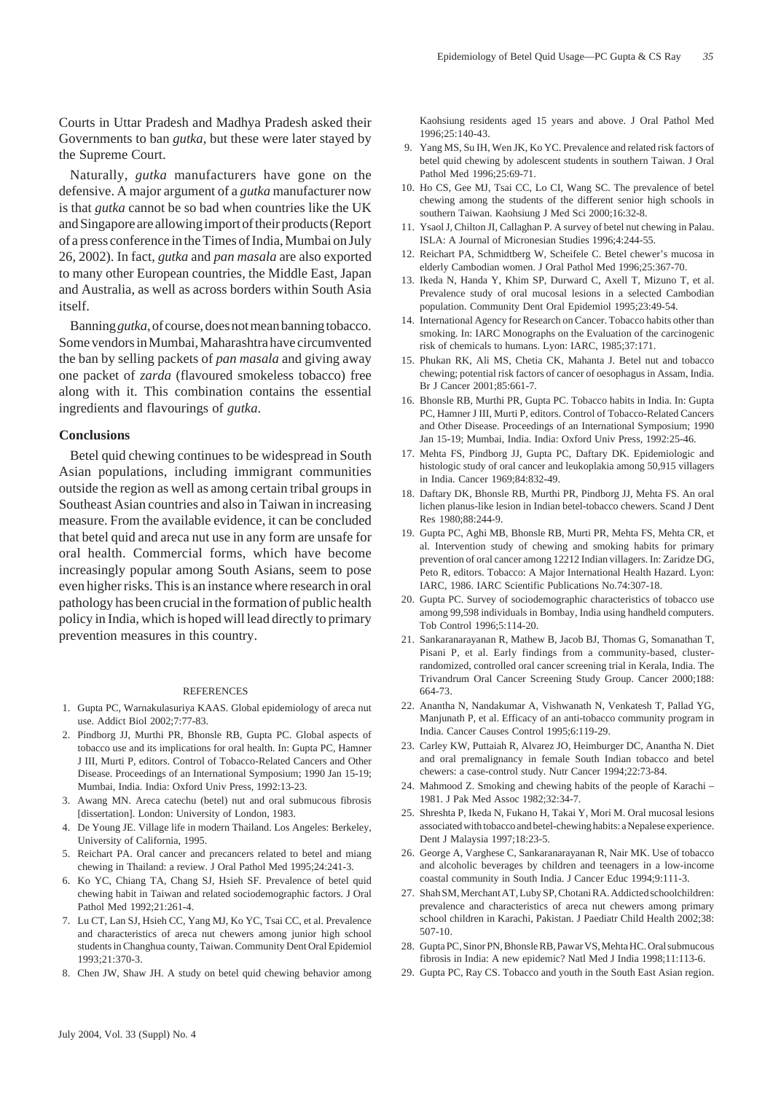Courts in Uttar Pradesh and Madhya Pradesh asked their Governments to ban *gutka,* but these were later stayed by the Supreme Court.

Naturally, *gutka* manufacturers have gone on the defensive. A major argument of a *gutka* manufacturer now is that *gutka* cannot be so bad when countries like the UK and Singapore are allowing import of their products (Report of a press conference in the Times of India, Mumbai on July 26, 2002). In fact, *gutka* and *pan masala* are also exported to many other European countries, the Middle East, Japan and Australia, as well as across borders within South Asia itself.

Banning *gutka*, of course, does not mean banning tobacco. Some vendors in Mumbai, Maharashtra have circumvented the ban by selling packets of *pan masala* and giving away one packet of *zarda* (flavoured smokeless tobacco) free along with it. This combination contains the essential ingredients and flavourings of *gutka*.

### **Conclusions**

Betel quid chewing continues to be widespread in South Asian populations, including immigrant communities outside the region as well as among certain tribal groups in Southeast Asian countries and also in Taiwan in increasing measure. From the available evidence, it can be concluded that betel quid and areca nut use in any form are unsafe for oral health. Commercial forms, which have become increasingly popular among South Asians, seem to pose even higher risks. This is an instance where research in oral pathology has been crucial in the formation of public health policy in India, which is hoped will lead directly to primary prevention measures in this country.

#### REFERENCES

- 1. Gupta PC, Warnakulasuriya KAAS. Global epidemiology of areca nut use. Addict Biol 2002;7:77-83.
- 2. Pindborg JJ, Murthi PR, Bhonsle RB, Gupta PC. Global aspects of tobacco use and its implications for oral health. In: Gupta PC, Hamner J III, Murti P, editors. Control of Tobacco-Related Cancers and Other Disease. Proceedings of an International Symposium; 1990 Jan 15-19; Mumbai, India. India: Oxford Univ Press, 1992:13-23.
- 3. Awang MN. Areca catechu (betel) nut and oral submucous fibrosis [dissertation]. London: University of London, 1983.
- 4. De Young JE. Village life in modern Thailand. Los Angeles: Berkeley, University of California, 1995.
- 5. Reichart PA. Oral cancer and precancers related to betel and miang chewing in Thailand: a review. J Oral Pathol Med 1995;24:241-3.
- 6. Ko YC, Chiang TA, Chang SJ, Hsieh SF. Prevalence of betel quid chewing habit in Taiwan and related sociodemographic factors. J Oral Pathol Med 1992;21:261-4.
- 7. Lu CT, Lan SJ, Hsieh CC, Yang MJ, Ko YC, Tsai CC, et al. Prevalence and characteristics of areca nut chewers among junior high school students in Changhua county, Taiwan. Community Dent Oral Epidemiol 1993;21:370-3.
- 8. Chen JW, Shaw JH. A study on betel quid chewing behavior among

Kaohsiung residents aged 15 years and above. J Oral Pathol Med 1996;25:140-43.

- 9. Yang MS, Su IH, Wen JK, Ko YC. Prevalence and related risk factors of betel quid chewing by adolescent students in southern Taiwan. J Oral Pathol Med 1996;25:69-71.
- 10. Ho CS, Gee MJ, Tsai CC, Lo CI, Wang SC. The prevalence of betel chewing among the students of the different senior high schools in southern Taiwan. Kaohsiung J Med Sci 2000;16:32-8.
- 11. Ysaol J, Chilton JI, Callaghan P. A survey of betel nut chewing in Palau. ISLA: A Journal of Micronesian Studies 1996;4:244-55.
- 12. Reichart PA, Schmidtberg W, Scheifele C. Betel chewer's mucosa in elderly Cambodian women. J Oral Pathol Med 1996;25:367-70.
- 13. Ikeda N, Handa Y, Khim SP, Durward C, Axell T, Mizuno T, et al. Prevalence study of oral mucosal lesions in a selected Cambodian population. Community Dent Oral Epidemiol 1995;23:49-54.
- 14. International Agency for Research on Cancer. Tobacco habits other than smoking. In: IARC Monographs on the Evaluation of the carcinogenic risk of chemicals to humans. Lyon: IARC, 1985;37:171.
- 15. Phukan RK, Ali MS, Chetia CK, Mahanta J. Betel nut and tobacco chewing; potential risk factors of cancer of oesophagus in Assam, India. Br J Cancer 2001;85:661-7.
- 16. Bhonsle RB, Murthi PR, Gupta PC. Tobacco habits in India. In: Gupta PC, Hamner J III, Murti P, editors. Control of Tobacco-Related Cancers and Other Disease. Proceedings of an International Symposium; 1990 Jan 15-19; Mumbai, India. India: Oxford Univ Press, 1992:25-46.
- 17. Mehta FS, Pindborg JJ, Gupta PC, Daftary DK. Epidemiologic and histologic study of oral cancer and leukoplakia among 50,915 villagers in India. Cancer 1969;84:832-49.
- 18. Daftary DK, Bhonsle RB, Murthi PR, Pindborg JJ, Mehta FS. An oral lichen planus-like lesion in Indian betel-tobacco chewers. Scand J Dent Res 1980;88:244-9.
- 19. Gupta PC, Aghi MB, Bhonsle RB, Murti PR, Mehta FS, Mehta CR, et al. Intervention study of chewing and smoking habits for primary prevention of oral cancer among 12212 Indian villagers. In: Zaridze DG, Peto R, editors. Tobacco: A Major International Health Hazard. Lyon: IARC, 1986. IARC Scientific Publications No.74:307-18.
- 20. Gupta PC. Survey of sociodemographic characteristics of tobacco use among 99,598 individuals in Bombay, India using handheld computers. Tob Control 1996;5:114-20.
- 21. Sankaranarayanan R, Mathew B, Jacob BJ, Thomas G, Somanathan T, Pisani P, et al. Early findings from a community-based, clusterrandomized, controlled oral cancer screening trial in Kerala, India. The Trivandrum Oral Cancer Screening Study Group. Cancer 2000;188: 664-73.
- 22. Anantha N, Nandakumar A, Vishwanath N, Venkatesh T, Pallad YG, Manjunath P, et al. Efficacy of an anti-tobacco community program in India. Cancer Causes Control 1995;6:119-29.
- 23. Carley KW, Puttaiah R, Alvarez JO, Heimburger DC, Anantha N. Diet and oral premalignancy in female South Indian tobacco and betel chewers: a case-control study. Nutr Cancer 1994;22:73-84.
- 24. Mahmood Z. Smoking and chewing habits of the people of Karachi 1981. J Pak Med Assoc 1982;32:34-7.
- 25. Shreshta P, Ikeda N, Fukano H, Takai Y, Mori M. Oral mucosal lesions associated with tobacco and betel-chewing habits: a Nepalese experience. Dent J Malaysia 1997;18:23-5.
- 26. George A, Varghese C, Sankaranarayanan R, Nair MK. Use of tobacco and alcoholic beverages by children and teenagers in a low-income coastal community in South India. J Cancer Educ 1994;9:111-3.
- 27. Shah SM, Merchant AT, Luby SP, Chotani RA. Addicted schoolchildren: prevalence and characteristics of areca nut chewers among primary school children in Karachi, Pakistan. J Paediatr Child Health 2002;38: 507-10.
- 28. Gupta PC, Sinor PN, Bhonsle RB, Pawar VS, Mehta HC. Oral submucous fibrosis in India: A new epidemic? Natl Med J India 1998;11:113-6.
- 29. Gupta PC, Ray CS. Tobacco and youth in the South East Asian region.